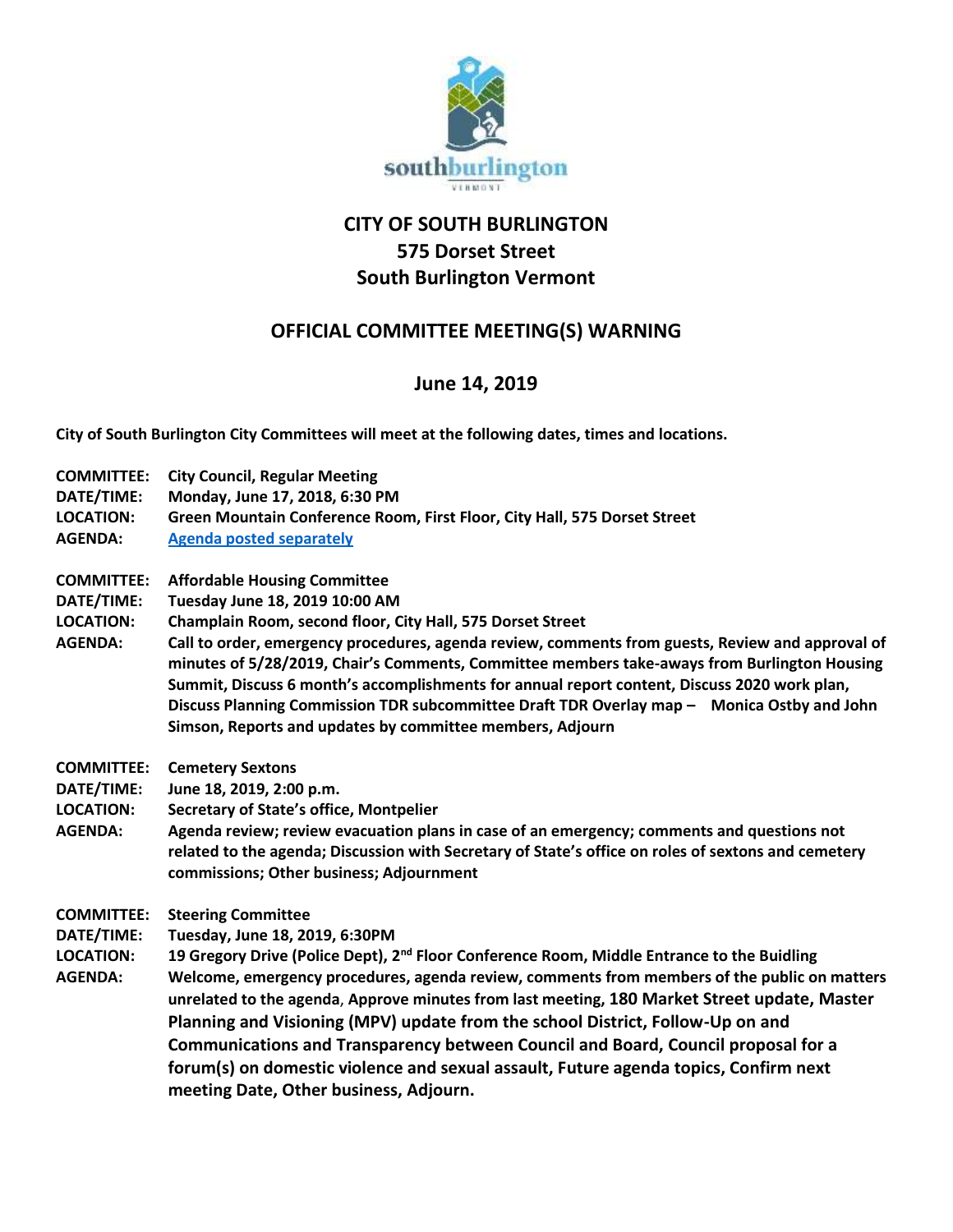

## **CITY OF SOUTH BURLINGTON 575 Dorset Street South Burlington Vermont**

## **OFFICIAL COMMITTEE MEETING(S) WARNING**

## **June 14, 2019**

**City of South Burlington City Committees will meet at the following dates, times and locations.** 

- **COMMITTEE: City Council, Regular Meeting DATE/TIME: Monday, June 17, 2018, 6:30 PM LOCATION: Green Mountain Conference Room, First Floor, City Hall, 575 Dorset Street AGENDA: [Agenda posted separately](https://clerkshq.com/SouthBurlington-vt)**
- **COMMITTEE: Affordable Housing Committee**
- **DATE/TIME: Tuesday June 18, 2019 10:00 AM**
- **LOCATION: Champlain Room, second floor, City Hall, 575 Dorset Street**
- **AGENDA: Call to order, emergency procedures, agenda review, comments from guests, Review and approval of minutes of 5/28/2019, Chair's Comments, Committee members take-aways from Burlington Housing Summit, Discuss 6 month's accomplishments for annual report content, Discuss 2020 work plan, Discuss Planning Commission TDR subcommittee Draft TDR Overlay map – Monica Ostby and John Simson, Reports and updates by committee members, Adjourn**
- **COMMITTEE: Cemetery Sextons**
- **DATE/TIME: June 18, 2019, 2:00 p.m.**
- **LOCATION: Secretary of State's office, Montpelier**
- **AGENDA: Agenda review; review evacuation plans in case of an emergency; comments and questions not related to the agenda; Discussion with Secretary of State's office on roles of sextons and cemetery commissions; Other business; Adjournment**
- **COMMITTEE: Steering Committee**
- **DATE/TIME: Tuesday, June 18, 2019, 6:30PM**
- **LOCATION: 19 Gregory Drive (Police Dept), 2nd Floor Conference Room, Middle Entrance to the Buidling AGENDA: Welcome, emergency procedures, agenda review, comments from members of the public on matters unrelated to the agenda**, **Approve minutes from last meeting, 180 Market Street update, Master Planning and Visioning (MPV) update from the school District, Follow-Up on and Communications and Transparency between Council and Board, Council proposal for a forum(s) on domestic violence and sexual assault, Future agenda topics, Confirm next meeting Date, Other business, Adjourn.**